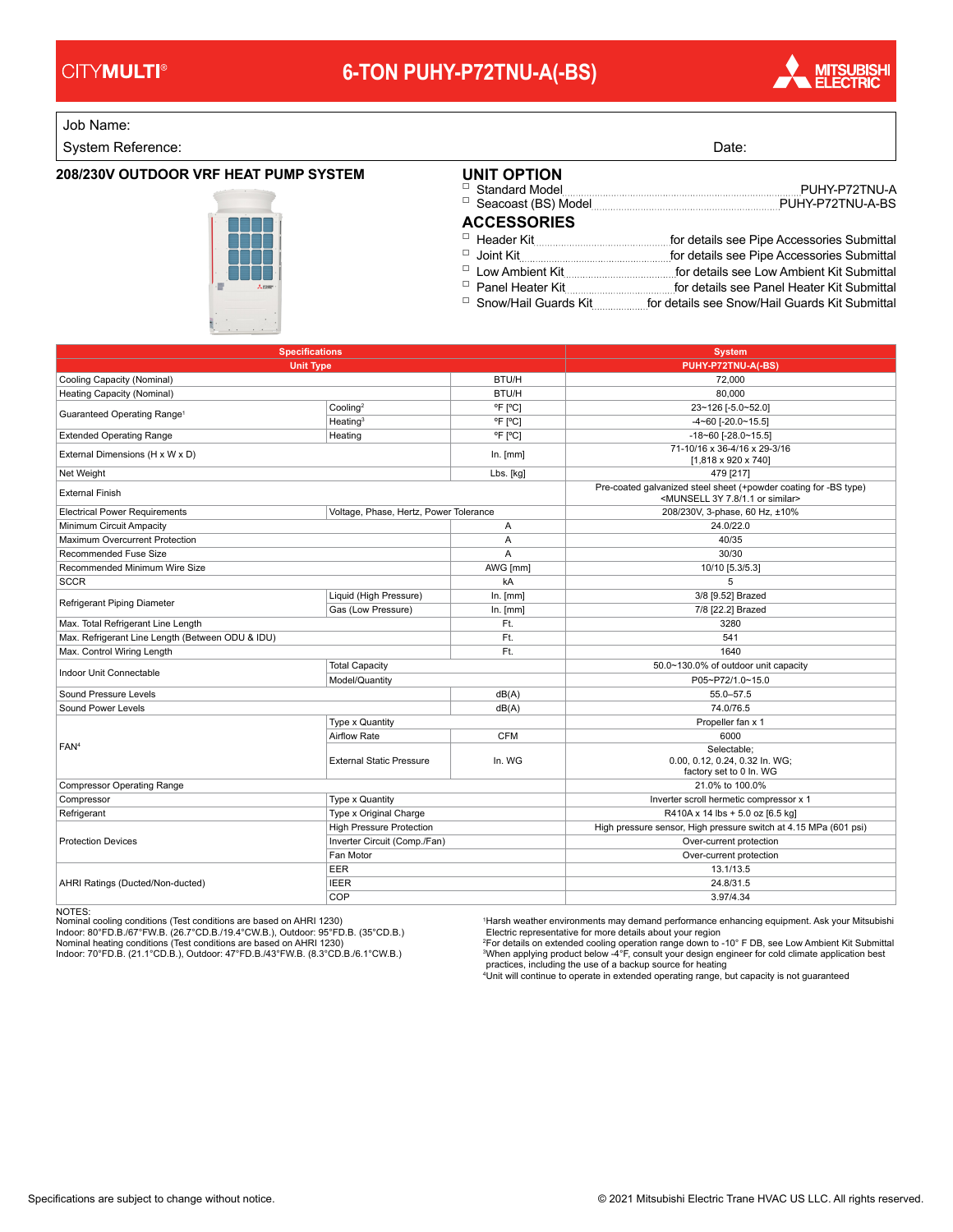### **CITYMULTI®**

# **6-TON PUHY-P72TNU-A(-BS)**



Job Name:

System Reference: Date: Date: Date: Date: Date: Date: Date: Date: Date: Date: Date: Date: Date: Date: Date: Date: Date: Date: Date: Date: Date: Date: Date: Date: Date: Date: Date: Date: Date: Date: Date: Date: Date: Date:

### **208/230V OUTDOOR VRF HEAT PUMP SYSTEM**



| UNIT OPTION        |  |
|--------------------|--|
| <b>ACCESSORIES</b> |  |
|                    |  |
|                    |  |
|                    |  |
|                    |  |
|                    |  |

Snow/Hail Guards Kit for details see Snow/Hail Guards Kit Submittal □

| <b>Specifications</b>                            | <b>System</b>                          |            |                                                                                                                              |  |  |  |
|--------------------------------------------------|----------------------------------------|------------|------------------------------------------------------------------------------------------------------------------------------|--|--|--|
| <b>Unit Type</b>                                 | PUHY-P72TNU-A(-BS)                     |            |                                                                                                                              |  |  |  |
| Cooling Capacity (Nominal)                       |                                        | BTU/H      | 72,000                                                                                                                       |  |  |  |
| Heating Capacity (Nominal)                       |                                        | BTU/H      | 80,000                                                                                                                       |  |  |  |
| Guaranteed Operating Range <sup>1</sup>          | Cooling <sup>2</sup>                   | °F [°C]    | 23~126 [-5.0~52.0]                                                                                                           |  |  |  |
|                                                  | Heating <sup>3</sup>                   | °F [°C]    | $-4 - 60$ [ $-20.0 - 15.5$ ]                                                                                                 |  |  |  |
| <b>Extended Operating Range</b>                  | Heating                                | °F [°C]    | $-18 - 60$ [ $-28.0 - 15.5$ ]                                                                                                |  |  |  |
| External Dimensions (H x W x D)                  |                                        | In. [mm]   | 71-10/16 x 36-4/16 x 29-3/16<br>$[1,818 \times 920 \times 740]$                                                              |  |  |  |
| Net Weight                                       |                                        | Lbs. [kg]  | 479 [217]                                                                                                                    |  |  |  |
| <b>External Finish</b>                           |                                        |            | Pre-coated galvanized steel sheet (+powder coating for -BS type)<br><munsell 1.1="" 3y="" 7.8="" or="" similar=""></munsell> |  |  |  |
| <b>Electrical Power Requirements</b>             | Voltage, Phase, Hertz, Power Tolerance |            | 208/230V, 3-phase, 60 Hz, ±10%                                                                                               |  |  |  |
| Minimum Circuit Ampacity                         |                                        |            | 24.0/22.0                                                                                                                    |  |  |  |
| Maximum Overcurrent Protection                   |                                        | Α          | 40/35                                                                                                                        |  |  |  |
| Recommended Fuse Size                            |                                        | A          | 30/30                                                                                                                        |  |  |  |
| Recommended Minimum Wire Size                    |                                        | AWG [mm]   | 10/10 [5.3/5.3]                                                                                                              |  |  |  |
| <b>SCCR</b>                                      |                                        | kA         | 5                                                                                                                            |  |  |  |
| Refrigerant Piping Diameter                      | Liquid (High Pressure)                 | In. [mm]   | 3/8 [9.52] Brazed                                                                                                            |  |  |  |
|                                                  | Gas (Low Pressure)                     | ln. [mm]   | 7/8 [22.2] Brazed                                                                                                            |  |  |  |
| Max. Total Refrigerant Line Length               |                                        | Ft.        | 3280                                                                                                                         |  |  |  |
| Max. Refrigerant Line Length (Between ODU & IDU) |                                        | Ft.        | 541                                                                                                                          |  |  |  |
| Max. Control Wiring Length                       |                                        | Ft.        | 1640                                                                                                                         |  |  |  |
| Indoor Unit Connectable                          | <b>Total Capacity</b>                  |            | 50.0~130.0% of outdoor unit capacity                                                                                         |  |  |  |
|                                                  | Model/Quantity                         |            | P05~P72/1.0~15.0                                                                                                             |  |  |  |
| Sound Pressure Levels                            |                                        | dB(A)      | 55.0-57.5                                                                                                                    |  |  |  |
| Sound Power Levels                               |                                        | dB(A)      | 74.0/76.5                                                                                                                    |  |  |  |
|                                                  | Type x Quantity                        |            | Propeller fan x 1                                                                                                            |  |  |  |
| FAN <sup>4</sup>                                 | <b>Airflow Rate</b>                    | <b>CFM</b> | 6000                                                                                                                         |  |  |  |
|                                                  | <b>External Static Pressure</b>        | In. WG     | Selectable:<br>0.00, 0.12, 0.24, 0.32 In. WG;<br>factory set to 0 In. WG                                                     |  |  |  |
| <b>Compressor Operating Range</b>                |                                        |            | 21.0% to 100.0%                                                                                                              |  |  |  |
| Compressor                                       | Type x Quantity                        |            | Inverter scroll hermetic compressor x 1                                                                                      |  |  |  |
| Refrigerant                                      | Type x Original Charge                 |            | R410A x 14 lbs + 5.0 oz [6.5 kg]                                                                                             |  |  |  |
| <b>Protection Devices</b>                        | <b>High Pressure Protection</b>        |            | High pressure sensor, High pressure switch at 4.15 MPa (601 psi)                                                             |  |  |  |
|                                                  | Inverter Circuit (Comp./Fan)           |            | Over-current protection                                                                                                      |  |  |  |
|                                                  | Fan Motor                              |            | Over-current protection                                                                                                      |  |  |  |
|                                                  | <b>EER</b>                             |            | 13.1/13.5                                                                                                                    |  |  |  |
| AHRI Ratings (Ducted/Non-ducted)                 | <b>IEER</b>                            |            | 24.8/31.5                                                                                                                    |  |  |  |
|                                                  | COP                                    |            | 3.97/4.34                                                                                                                    |  |  |  |

NOTES:<br>Nominal cooling conditions (Test conditions are based on AHRI 1230)<br>Indoor: 80°FD.B./67°FW.B. (26.7°CD.B./19.4°CW.B.), Outdoor: 95°FD.B. (35°CD.B.)<br>Nominal heating conditions (Test conditions are based on AHRI 1230)

<sup>1</sup>Harsh weather environments may demand performance enhancing equipment. Ask your Mitsubishi<br>Electric representative for more details about your region<br><sup>3</sup>For details on extended cooling operation range down to -10° F DB,